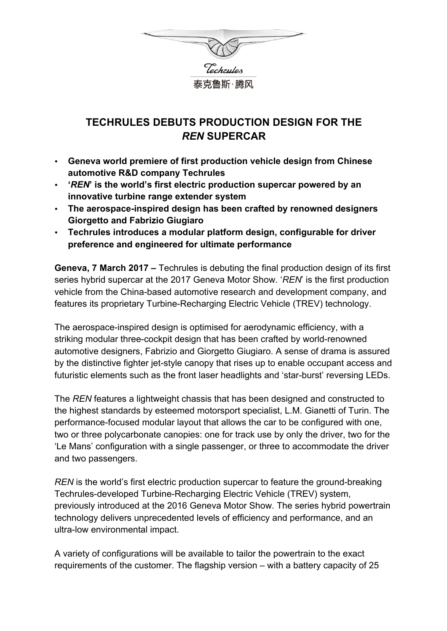

# **TECHRULES DEBUTS PRODUCTION DESIGN FOR THE** *REN* **SUPERCAR**

- **Geneva world premiere of first production vehicle design from Chinese automotive R&D company Techrules**
- **'***REN***' is the world's first electric production supercar powered by an innovative turbine range extender system**
- **The aerospace-inspired design has been crafted by renowned designers Giorgetto and Fabrizio Giugiaro**
- **Techrules introduces a modular platform design, configurable for driver preference and engineered for ultimate performance**

**Geneva, 7 March 2017 –** Techrules is debuting the final production design of its first series hybrid supercar at the 2017 Geneva Motor Show. '*REN*' is the first production vehicle from the China-based automotive research and development company, and features its proprietary Turbine-Recharging Electric Vehicle (TREV) technology.

The aerospace-inspired design is optimised for aerodynamic efficiency, with a striking modular three-cockpit design that has been crafted by world-renowned automotive designers, Fabrizio and Giorgetto Giugiaro. A sense of drama is assured by the distinctive fighter jet-style canopy that rises up to enable occupant access and futuristic elements such as the front laser headlights and 'star-burst' reversing LEDs.

The *REN* features a lightweight chassis that has been designed and constructed to the highest standards by esteemed motorsport specialist, L.M. Gianetti of Turin. The performance-focused modular layout that allows the car to be configured with one, two or three polycarbonate canopies: one for track use by only the driver, two for the 'Le Mans' configuration with a single passenger, or three to accommodate the driver and two passengers.

*REN* is the world's first electric production supercar to feature the ground-breaking Techrules-developed Turbine-Recharging Electric Vehicle (TREV) system, previously introduced at the 2016 Geneva Motor Show. The series hybrid powertrain technology delivers unprecedented levels of efficiency and performance, and an ultra-low environmental impact.

A variety of configurations will be available to tailor the powertrain to the exact requirements of the customer. The flagship version – with a battery capacity of 25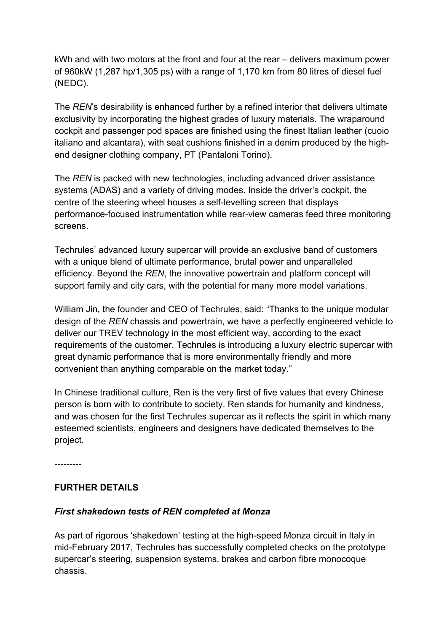kWh and with two motors at the front and four at the rear – delivers maximum power of 960kW (1,287 hp/1,305 ps) with a range of 1,170 km from 80 litres of diesel fuel (NEDC).

The *REN*'s desirability is enhanced further by a refined interior that delivers ultimate exclusivity by incorporating the highest grades of luxury materials. The wraparound cockpit and passenger pod spaces are finished using the finest Italian leather (cuoio italiano and alcantara), with seat cushions finished in a denim produced by the highend designer clothing company, PT (Pantaloni Torino).

The *REN* is packed with new technologies, including advanced driver assistance systems (ADAS) and a variety of driving modes. Inside the driver's cockpit, the centre of the steering wheel houses a self-levelling screen that displays performance-focused instrumentation while rear-view cameras feed three monitoring screens.

Techrules' advanced luxury supercar will provide an exclusive band of customers with a unique blend of ultimate performance, brutal power and unparalleled efficiency. Beyond the *REN*, the innovative powertrain and platform concept will support family and city cars, with the potential for many more model variations.

William Jin, the founder and CEO of Techrules, said: "Thanks to the unique modular design of the *REN* chassis and powertrain, we have a perfectly engineered vehicle to deliver our TREV technology in the most efficient way, according to the exact requirements of the customer. Techrules is introducing a luxury electric supercar with great dynamic performance that is more environmentally friendly and more convenient than anything comparable on the market today."

In Chinese traditional culture, Ren is the very first of five values that every Chinese person is born with to contribute to society. Ren stands for humanity and kindness, and was chosen for the first Techrules supercar as it reflects the spirit in which many esteemed scientists, engineers and designers have dedicated themselves to the project.

---------

### **FURTHER DETAILS**

### *First shakedown tests of REN completed at Monza*

As part of rigorous 'shakedown' testing at the high-speed Monza circuit in Italy in mid-February 2017, Techrules has successfully completed checks on the prototype supercar's steering, suspension systems, brakes and carbon fibre monocoque chassis.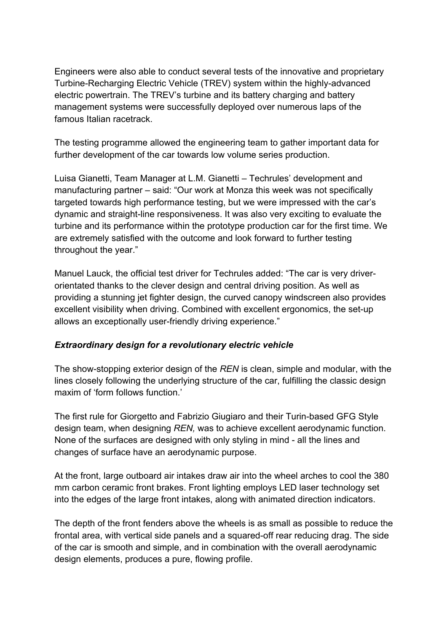Engineers were also able to conduct several tests of the innovative and proprietary Turbine-Recharging Electric Vehicle (TREV) system within the highly-advanced electric powertrain. The TREV's turbine and its battery charging and battery management systems were successfully deployed over numerous laps of the famous Italian racetrack.

The testing programme allowed the engineering team to gather important data for further development of the car towards low volume series production.

Luisa Gianetti, Team Manager at L.M. Gianetti – Techrules' development and manufacturing partner – said: "Our work at Monza this week was not specifically targeted towards high performance testing, but we were impressed with the car's dynamic and straight-line responsiveness. It was also very exciting to evaluate the turbine and its performance within the prototype production car for the first time. We are extremely satisfied with the outcome and look forward to further testing throughout the year."

Manuel Lauck, the official test driver for Techrules added: "The car is very driverorientated thanks to the clever design and central driving position. As well as providing a stunning jet fighter design, the curved canopy windscreen also provides excellent visibility when driving. Combined with excellent ergonomics, the set-up allows an exceptionally user-friendly driving experience."

### *Extraordinary design for a revolutionary electric vehicle*

The show-stopping exterior design of the *REN* is clean, simple and modular, with the lines closely following the underlying structure of the car, fulfilling the classic design maxim of 'form follows function.'

The first rule for Giorgetto and Fabrizio Giugiaro and their Turin-based GFG Style design team, when designing *REN,* was to achieve excellent aerodynamic function. None of the surfaces are designed with only styling in mind - all the lines and changes of surface have an aerodynamic purpose.

At the front, large outboard air intakes draw air into the wheel arches to cool the 380 mm carbon ceramic front brakes. Front lighting employs LED laser technology set into the edges of the large front intakes, along with animated direction indicators.

The depth of the front fenders above the wheels is as small as possible to reduce the frontal area, with vertical side panels and a squared-off rear reducing drag. The side of the car is smooth and simple, and in combination with the overall aerodynamic design elements, produces a pure, flowing profile.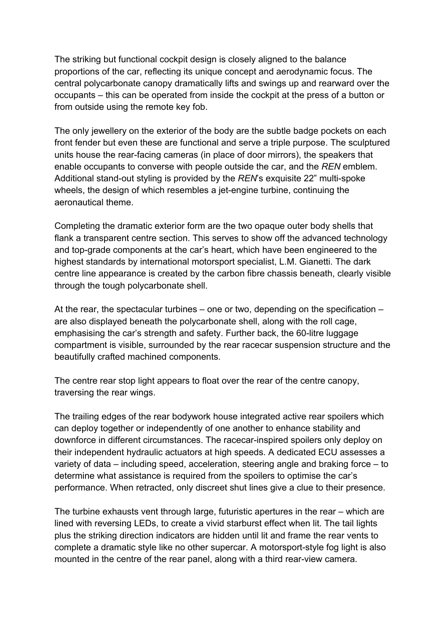The striking but functional cockpit design is closely aligned to the balance proportions of the car, reflecting its unique concept and aerodynamic focus. The central polycarbonate canopy dramatically lifts and swings up and rearward over the occupants – this can be operated from inside the cockpit at the press of a button or from outside using the remote key fob.

The only jewellery on the exterior of the body are the subtle badge pockets on each front fender but even these are functional and serve a triple purpose. The sculptured units house the rear-facing cameras (in place of door mirrors), the speakers that enable occupants to converse with people outside the car, and the *REN* emblem. Additional stand-out styling is provided by the *REN*'s exquisite 22" multi-spoke wheels, the design of which resembles a jet-engine turbine, continuing the aeronautical theme.

Completing the dramatic exterior form are the two opaque outer body shells that flank a transparent centre section. This serves to show off the advanced technology and top-grade components at the car's heart, which have been engineered to the highest standards by international motorsport specialist, L.M. Gianetti. The dark centre line appearance is created by the carbon fibre chassis beneath, clearly visible through the tough polycarbonate shell.

At the rear, the spectacular turbines – one or two, depending on the specification – are also displayed beneath the polycarbonate shell, along with the roll cage, emphasising the car's strength and safety. Further back, the 60-litre luggage compartment is visible, surrounded by the rear racecar suspension structure and the beautifully crafted machined components.

The centre rear stop light appears to float over the rear of the centre canopy, traversing the rear wings.

The trailing edges of the rear bodywork house integrated active rear spoilers which can deploy together or independently of one another to enhance stability and downforce in different circumstances. The racecar-inspired spoilers only deploy on their independent hydraulic actuators at high speeds. A dedicated ECU assesses a variety of data – including speed, acceleration, steering angle and braking force – to determine what assistance is required from the spoilers to optimise the car's performance. When retracted, only discreet shut lines give a clue to their presence.

The turbine exhausts vent through large, futuristic apertures in the rear – which are lined with reversing LEDs, to create a vivid starburst effect when lit. The tail lights plus the striking direction indicators are hidden until lit and frame the rear vents to complete a dramatic style like no other supercar. A motorsport-style fog light is also mounted in the centre of the rear panel, along with a third rear-view camera.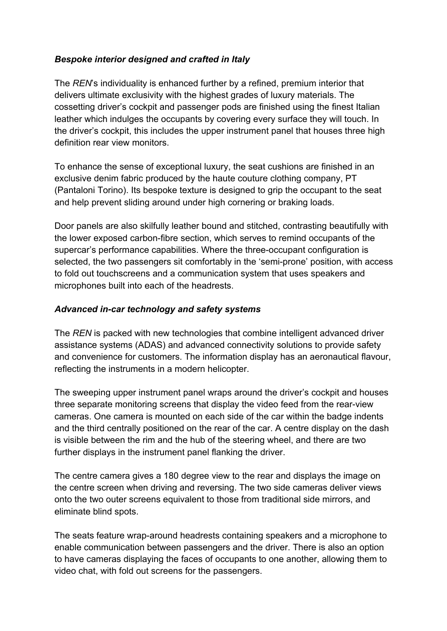### *Bespoke interior designed and crafted in Italy*

The *REN*'s individuality is enhanced further by a refined, premium interior that delivers ultimate exclusivity with the highest grades of luxury materials. The cossetting driver's cockpit and passenger pods are finished using the finest Italian leather which indulges the occupants by covering every surface they will touch. In the driver's cockpit, this includes the upper instrument panel that houses three high definition rear view monitors.

To enhance the sense of exceptional luxury, the seat cushions are finished in an exclusive denim fabric produced by the haute couture clothing company, PT (Pantaloni Torino). Its bespoke texture is designed to grip the occupant to the seat and help prevent sliding around under high cornering or braking loads.

Door panels are also skilfully leather bound and stitched, contrasting beautifully with the lower exposed carbon-fibre section, which serves to remind occupants of the supercar's performance capabilities. Where the three-occupant configuration is selected, the two passengers sit comfortably in the 'semi-prone' position, with access to fold out touchscreens and a communication system that uses speakers and microphones built into each of the headrests.

### *Advanced in-car technology and safety systems*

The *REN* is packed with new technologies that combine intelligent advanced driver assistance systems (ADAS) and advanced connectivity solutions to provide safety and convenience for customers. The information display has an aeronautical flavour, reflecting the instruments in a modern helicopter.

The sweeping upper instrument panel wraps around the driver's cockpit and houses three separate monitoring screens that display the video feed from the rear-view cameras. One camera is mounted on each side of the car within the badge indents and the third centrally positioned on the rear of the car. A centre display on the dash is visible between the rim and the hub of the steering wheel, and there are two further displays in the instrument panel flanking the driver.

The centre camera gives a 180 degree view to the rear and displays the image on the centre screen when driving and reversing. The two side cameras deliver views onto the two outer screens equivalent to those from traditional side mirrors, and eliminate blind spots.

The seats feature wrap-around headrests containing speakers and a microphone to enable communication between passengers and the driver. There is also an option to have cameras displaying the faces of occupants to one another, allowing them to video chat, with fold out screens for the passengers.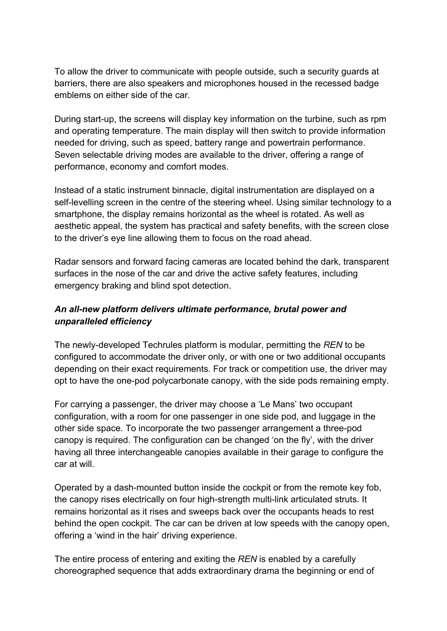To allow the driver to communicate with people outside, such a security guards at barriers, there are also speakers and microphones housed in the recessed badge emblems on either side of the car.

During start-up, the screens will display key information on the turbine, such as rpm and operating temperature. The main display will then switch to provide information needed for driving, such as speed, battery range and powertrain performance. Seven selectable driving modes are available to the driver, offering a range of performance, economy and comfort modes.

Instead of a static instrument binnacle, digital instrumentation are displayed on a self-levelling screen in the centre of the steering wheel. Using similar technology to a smartphone, the display remains horizontal as the wheel is rotated. As well as aesthetic appeal, the system has practical and safety benefits, with the screen close to the driver's eye line allowing them to focus on the road ahead.

Radar sensors and forward facing cameras are located behind the dark, transparent surfaces in the nose of the car and drive the active safety features, including emergency braking and blind spot detection.

### *An all-new platform delivers ultimate performance, brutal power and unparalleled efficiency*

The newly-developed Techrules platform is modular, permitting the *REN* to be configured to accommodate the driver only, or with one or two additional occupants depending on their exact requirements. For track or competition use, the driver may opt to have the one-pod polycarbonate canopy, with the side pods remaining empty.

For carrying a passenger, the driver may choose a 'Le Mans' two occupant configuration, with a room for one passenger in one side pod, and luggage in the other side space. To incorporate the two passenger arrangement a three-pod canopy is required. The configuration can be changed 'on the fly', with the driver having all three interchangeable canopies available in their garage to configure the car at will.

Operated by a dash-mounted button inside the cockpit or from the remote key fob, the canopy rises electrically on four high-strength multi-link articulated struts. It remains horizontal as it rises and sweeps back over the occupants heads to rest behind the open cockpit. The car can be driven at low speeds with the canopy open, offering a 'wind in the hair' driving experience.

The entire process of entering and exiting the *REN* is enabled by a carefully choreographed sequence that adds extraordinary drama the beginning or end of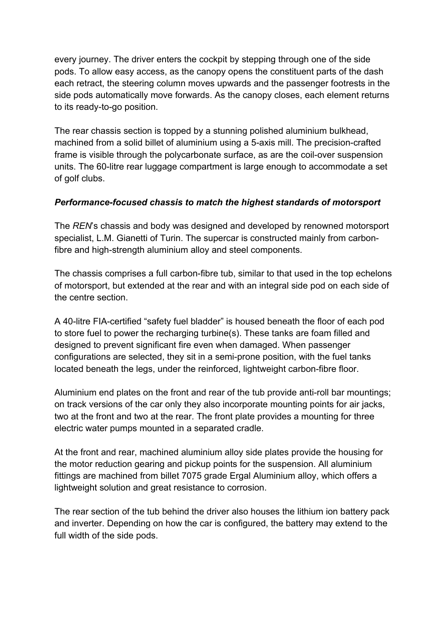every journey. The driver enters the cockpit by stepping through one of the side pods. To allow easy access, as the canopy opens the constituent parts of the dash each retract, the steering column moves upwards and the passenger footrests in the side pods automatically move forwards. As the canopy closes, each element returns to its ready-to-go position.

The rear chassis section is topped by a stunning polished aluminium bulkhead, machined from a solid billet of aluminium using a 5-axis mill. The precision-crafted frame is visible through the polycarbonate surface, as are the coil-over suspension units. The 60-litre rear luggage compartment is large enough to accommodate a set of golf clubs.

### *Performance-focused chassis to match the highest standards of motorsport*

The *REN*'s chassis and body was designed and developed by renowned motorsport specialist, L.M. Gianetti of Turin. The supercar is constructed mainly from carbonfibre and high-strength aluminium alloy and steel components.

The chassis comprises a full carbon-fibre tub, similar to that used in the top echelons of motorsport, but extended at the rear and with an integral side pod on each side of the centre section.

A 40-litre FIA-certified "safety fuel bladder" is housed beneath the floor of each pod to store fuel to power the recharging turbine(s). These tanks are foam filled and designed to prevent significant fire even when damaged. When passenger configurations are selected, they sit in a semi-prone position, with the fuel tanks located beneath the legs, under the reinforced, lightweight carbon-fibre floor.

Aluminium end plates on the front and rear of the tub provide anti-roll bar mountings; on track versions of the car only they also incorporate mounting points for air jacks, two at the front and two at the rear. The front plate provides a mounting for three electric water pumps mounted in a separated cradle.

At the front and rear, machined aluminium alloy side plates provide the housing for the motor reduction gearing and pickup points for the suspension. All aluminium fittings are machined from billet 7075 grade Ergal Aluminium alloy, which offers a lightweight solution and great resistance to corrosion.

The rear section of the tub behind the driver also houses the lithium ion battery pack and inverter. Depending on how the car is configured, the battery may extend to the full width of the side pods.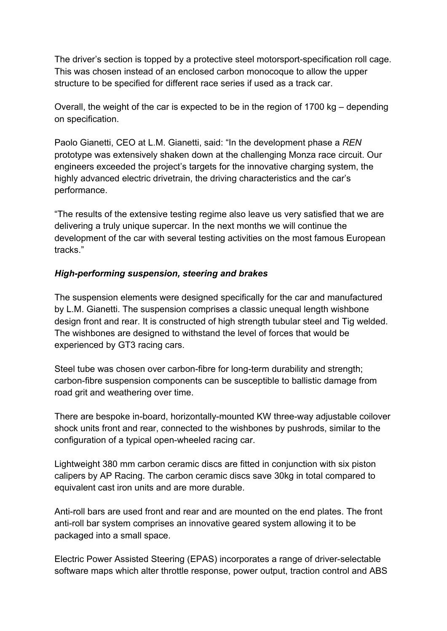The driver's section is topped by a protective steel motorsport-specification roll cage. This was chosen instead of an enclosed carbon monocoque to allow the upper structure to be specified for different race series if used as a track car.

Overall, the weight of the car is expected to be in the region of 1700 kg – depending on specification.

Paolo Gianetti, CEO at L.M. Gianetti, said: "In the development phase a *REN*  prototype was extensively shaken down at the challenging Monza race circuit. Our engineers exceeded the project's targets for the innovative charging system, the highly advanced electric drivetrain, the driving characteristics and the car's performance.

"The results of the extensive testing regime also leave us very satisfied that we are delivering a truly unique supercar. In the next months we will continue the development of the car with several testing activities on the most famous European tracks."

### *High-performing suspension, steering and brakes*

The suspension elements were designed specifically for the car and manufactured by L.M. Gianetti. The suspension comprises a classic unequal length wishbone design front and rear. It is constructed of high strength tubular steel and Tig welded. The wishbones are designed to withstand the level of forces that would be experienced by GT3 racing cars.

Steel tube was chosen over carbon-fibre for long-term durability and strength; carbon-fibre suspension components can be susceptible to ballistic damage from road grit and weathering over time.

There are bespoke in-board, horizontally-mounted KW three-way adjustable coilover shock units front and rear, connected to the wishbones by pushrods, similar to the configuration of a typical open-wheeled racing car.

Lightweight 380 mm carbon ceramic discs are fitted in conjunction with six piston calipers by AP Racing. The carbon ceramic discs save 30kg in total compared to equivalent cast iron units and are more durable.

Anti-roll bars are used front and rear and are mounted on the end plates. The front anti-roll bar system comprises an innovative geared system allowing it to be packaged into a small space.

Electric Power Assisted Steering (EPAS) incorporates a range of driver-selectable software maps which alter throttle response, power output, traction control and ABS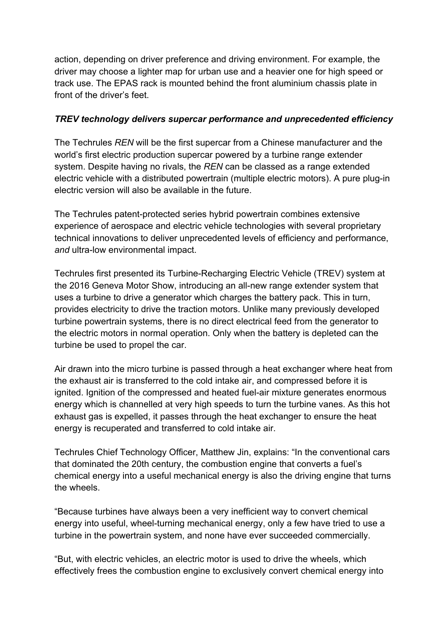action, depending on driver preference and driving environment. For example, the driver may choose a lighter map for urban use and a heavier one for high speed or track use. The EPAS rack is mounted behind the front aluminium chassis plate in front of the driver's feet.

#### *TREV technology delivers supercar performance and unprecedented efficiency*

The Techrules *REN* will be the first supercar from a Chinese manufacturer and the world's first electric production supercar powered by a turbine range extender system. Despite having no rivals, the *REN* can be classed as a range extended electric vehicle with a distributed powertrain (multiple electric motors). A pure plug-in electric version will also be available in the future.

The Techrules patent-protected series hybrid powertrain combines extensive experience of aerospace and electric vehicle technologies with several proprietary technical innovations to deliver unprecedented levels of efficiency and performance, *and* ultra-low environmental impact.

Techrules first presented its Turbine-Recharging Electric Vehicle (TREV) system at the 2016 Geneva Motor Show, introducing an all-new range extender system that uses a turbine to drive a generator which charges the battery pack. This in turn, provides electricity to drive the traction motors. Unlike many previously developed turbine powertrain systems, there is no direct electrical feed from the generator to the electric motors in normal operation. Only when the battery is depleted can the turbine be used to propel the car.

Air drawn into the micro turbine is passed through a heat exchanger where heat from the exhaust air is transferred to the cold intake air, and compressed before it is ignited. Ignition of the compressed and heated fuel-air mixture generates enormous energy which is channelled at very high speeds to turn the turbine vanes. As this hot exhaust gas is expelled, it passes through the heat exchanger to ensure the heat energy is recuperated and transferred to cold intake air.

Techrules Chief Technology Officer, Matthew Jin, explains: "In the conventional cars that dominated the 20th century, the combustion engine that converts a fuel's chemical energy into a useful mechanical energy is also the driving engine that turns the wheels.

"Because turbines have always been a very inefficient way to convert chemical energy into useful, wheel-turning mechanical energy, only a few have tried to use a turbine in the powertrain system, and none have ever succeeded commercially.

"But, with electric vehicles, an electric motor is used to drive the wheels, which effectively frees the combustion engine to exclusively convert chemical energy into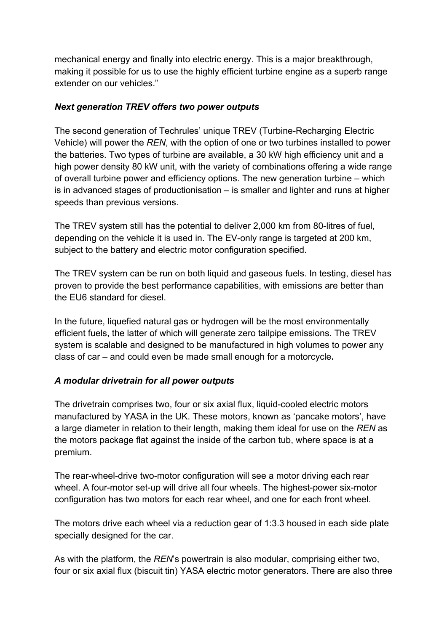mechanical energy and finally into electric energy. This is a major breakthrough, making it possible for us to use the highly efficient turbine engine as a superb range extender on our vehicles."

### *Next generation TREV offers two power outputs*

The second generation of Techrules' unique TREV (Turbine-Recharging Electric Vehicle) will power the *REN*, with the option of one or two turbines installed to power the batteries. Two types of turbine are available, a 30 kW high efficiency unit and a high power density 80 kW unit, with the variety of combinations offering a wide range of overall turbine power and efficiency options. The new generation turbine – which is in advanced stages of productionisation – is smaller and lighter and runs at higher speeds than previous versions.

The TREV system still has the potential to deliver 2,000 km from 80-litres of fuel, depending on the vehicle it is used in. The EV-only range is targeted at 200 km, subject to the battery and electric motor configuration specified.

The TREV system can be run on both liquid and gaseous fuels. In testing, diesel has proven to provide the best performance capabilities, with emissions are better than the EU6 standard for diesel.

In the future, liquefied natural gas or hydrogen will be the most environmentally efficient fuels, the latter of which will generate zero tailpipe emissions. The TREV system is scalable and designed to be manufactured in high volumes to power any class of car – and could even be made small enough for a motorcycle**.**

### *A modular drivetrain for all power outputs*

The drivetrain comprises two, four or six axial flux, liquid-cooled electric motors manufactured by YASA in the UK. These motors, known as 'pancake motors', have a large diameter in relation to their length, making them ideal for use on the *REN* as the motors package flat against the inside of the carbon tub, where space is at a premium.

The rear-wheel-drive two-motor configuration will see a motor driving each rear wheel. A four-motor set-up will drive all four wheels. The highest-power six-motor configuration has two motors for each rear wheel, and one for each front wheel.

The motors drive each wheel via a reduction gear of 1:3.3 housed in each side plate specially designed for the car.

As with the platform, the *REN*'s powertrain is also modular, comprising either two, four or six axial flux (biscuit tin) YASA electric motor generators. There are also three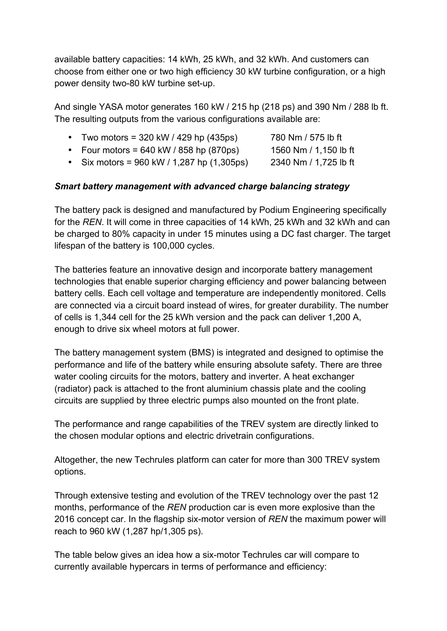available battery capacities: 14 kWh, 25 kWh, and 32 kWh. And customers can choose from either one or two high efficiency 30 kW turbine configuration, or a high power density two-80 kW turbine set-up.

And single YASA motor generates 160 kW / 215 hp (218 ps) and 390 Nm / 288 lb ft. The resulting outputs from the various configurations available are:

| 780 Nm / 575 lb ft<br>Two motors = $320$ kW / 429 hp (435ps) |  |
|--------------------------------------------------------------|--|
|--------------------------------------------------------------|--|

- Four motors = 640 kW / 858 hp (870ps) 1560 Nm / 1,150 lb ft
- Six motors = 960 kW / 1,287 hp (1,305ps) 2340 Nm / 1,725 lb ft

#### *Smart battery management with advanced charge balancing strategy*

The battery pack is designed and manufactured by Podium Engineering specifically for the *REN*. It will come in three capacities of 14 kWh, 25 kWh and 32 kWh and can be charged to 80% capacity in under 15 minutes using a DC fast charger. The target lifespan of the battery is 100,000 cycles.

The batteries feature an innovative design and incorporate battery management technologies that enable superior charging efficiency and power balancing between battery cells. Each cell voltage and temperature are independently monitored. Cells are connected via a circuit board instead of wires, for greater durability. The number of cells is 1,344 cell for the 25 kWh version and the pack can deliver 1,200 A, enough to drive six wheel motors at full power.

The battery management system (BMS) is integrated and designed to optimise the performance and life of the battery while ensuring absolute safety. There are three water cooling circuits for the motors, battery and inverter. A heat exchanger (radiator) pack is attached to the front aluminium chassis plate and the cooling circuits are supplied by three electric pumps also mounted on the front plate.

The performance and range capabilities of the TREV system are directly linked to the chosen modular options and electric drivetrain configurations.

Altogether, the new Techrules platform can cater for more than 300 TREV system options.

Through extensive testing and evolution of the TREV technology over the past 12 months, performance of the *REN* production car is even more explosive than the 2016 concept car. In the flagship six-motor version of *REN* the maximum power will reach to 960 kW (1,287 hp/1,305 ps).

The table below gives an idea how a six-motor Techrules car will compare to currently available hypercars in terms of performance and efficiency: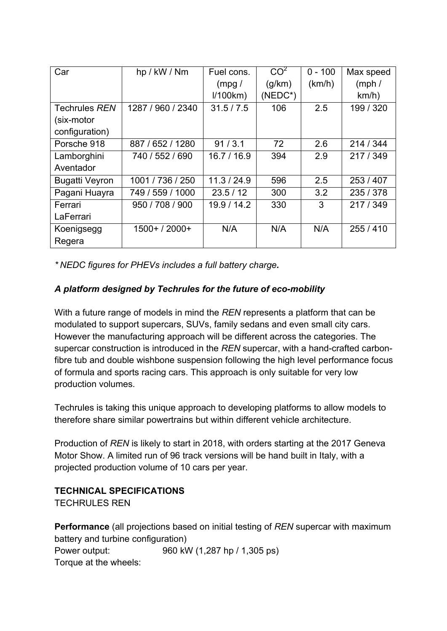| Car                   | hp / kW / Nm      | Fuel cons.  | CO <sup>2</sup> | $0 - 100$ | Max speed |
|-----------------------|-------------------|-------------|-----------------|-----------|-----------|
|                       |                   | (mpg/       | (g/km)          | (km/h)    | (mph/     |
|                       |                   | 1/100km     | $(NEDC^*)$      |           | km/h)     |
| Techrules REN         | 1287 / 960 / 2340 | 31.5/7.5    | 106             | 2.5       | 199 / 320 |
| (six-motor            |                   |             |                 |           |           |
| configuration)        |                   |             |                 |           |           |
| Porsche 918           | 887 / 652 / 1280  | 91/3.1      | 72              | 2.6       | 214 / 344 |
| Lamborghini           | 740 / 552 / 690   | 16.7/16.9   | 394             | 2.9       | 217 / 349 |
| Aventador             |                   |             |                 |           |           |
| <b>Bugatti Veyron</b> | 1001 / 736 / 250  | 11.3 / 24.9 | 596             | 2.5       | 253/407   |
| Pagani Huayra         | 749 / 559 / 1000  | 23.5/12     | 300             | 3.2       | 235 / 378 |
| Ferrari               | 950 / 708 / 900   | 19.9/14.2   | 330             | 3         | 217 / 349 |
| LaFerrari             |                   |             |                 |           |           |
| Koenigsegg            | $1500+ / 2000+$   | N/A         | N/A             | N/A       | 255/410   |
| Regera                |                   |             |                 |           |           |

*\* NEDC figures for PHEVs includes a full battery charge.*

## *A platform designed by Techrules for the future of eco-mobility*

With a future range of models in mind the *REN* represents a platform that can be modulated to support supercars, SUVs, family sedans and even small city cars. However the manufacturing approach will be different across the categories. The supercar construction is introduced in the *REN* supercar, with a hand-crafted carbonfibre tub and double wishbone suspension following the high level performance focus of formula and sports racing cars. This approach is only suitable for very low production volumes.

Techrules is taking this unique approach to developing platforms to allow models to therefore share similar powertrains but within different vehicle architecture.

Production of *REN* is likely to start in 2018, with orders starting at the 2017 Geneva Motor Show. A limited run of 96 track versions will be hand built in Italy, with a projected production volume of 10 cars per year.

## **TECHNICAL SPECIFICATIONS**

TECHRULES REN

**Performance** (all projections based on initial testing of *REN* supercar with maximum battery and turbine configuration) Power output: 960 kW (1,287 hp / 1,305 ps) Torque at the wheels: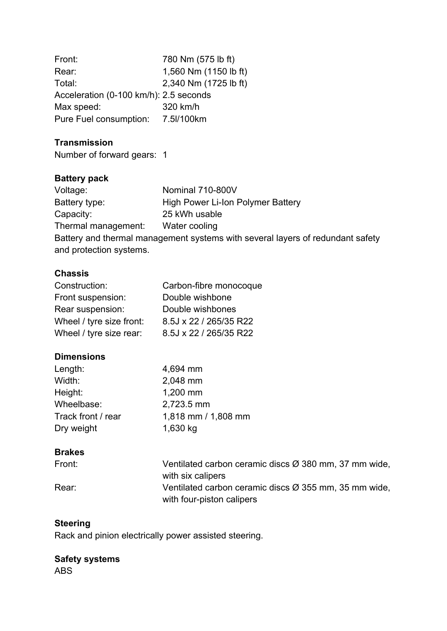| Front:                                 | 780 Nm (575 lb ft)    |
|----------------------------------------|-----------------------|
| Rear:                                  | 1,560 Nm (1150 lb ft) |
| Total:                                 | 2,340 Nm (1725 lb ft) |
| Acceleration (0-100 km/h): 2.5 seconds |                       |
| Max speed:                             | 320 km/h              |
| Pure Fuel consumption: 7.5I/100km      |                       |

### **Transmission**

Number of forward gears: 1

## **Battery pack**

| Voltage:                | Nominal 710-800V                                                               |
|-------------------------|--------------------------------------------------------------------------------|
| Battery type:           | High Power Li-Ion Polymer Battery                                              |
| Capacity:               | 25 kWh usable                                                                  |
| Thermal management:     | Water cooling                                                                  |
|                         | Battery and thermal management systems with several layers of redundant safety |
| and protection systems. |                                                                                |
|                         |                                                                                |

### **Chassis**

| Construction:            | Carbon-fibre monocoque |
|--------------------------|------------------------|
| Front suspension:        | Double wishbone        |
| Rear suspension:         | Double wishbones       |
| Wheel / tyre size front: | 8.5J x 22 / 265/35 R22 |
| Wheel / tyre size rear:  | 8.5J x 22 / 265/35 R22 |

### **Dimensions**

| Length:            | 4,694 mm            |
|--------------------|---------------------|
| Width:             | 2,048 mm            |
| Height:            | 1,200 mm            |
| Wheelbase:         | 2,723.5 mm          |
| Track front / rear | 1,818 mm / 1,808 mm |
| Dry weight         | 1,630 kg            |

### **Brakes**

| Front: | Ventilated carbon ceramic discs Ø 380 mm, 37 mm wide, |
|--------|-------------------------------------------------------|
|        | with six calipers                                     |
| Rear:  | Ventilated carbon ceramic discs Ø 355 mm, 35 mm wide, |
|        | with four-piston calipers                             |

## **Steering**

Rack and pinion electrically power assisted steering.

## **Safety systems**

ABS